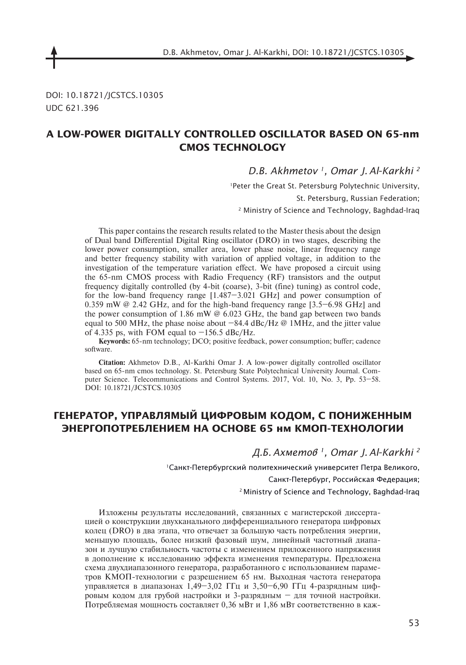DOI: 10.18721/JCSTCS.10305 UDC 621.396

## **a LOW-POWER DIGITALLY CONTROLLED OSCILLaTOR based on 65-nm CMOS TECHNOLOGY**

*D.B. Akhmetov 1, Omar J. Al-Karkhi 2*

1Peter the Great St. Petersburg Polytechnic University, St. Petersburg, Russian Federation; 2 Ministry of Science and Technology, Baghdad-Iraq

This paper contains the research results related to the Master thesis about the design of Dual band Differential Digital Ring oscillator (DRO) in two stages, describing the lower power consumption, smaller area, lower phase noise, linear frequency range and better frequency stability with variation of applied voltage, in addition to the investigation of the temperature variation effect. We have proposed a circuit using the 65-nm CMOS process with Radio Frequency (RF) transistors and the output frequency digitally controlled (by 4-bit (coarse), 3-bit (fine) tuning) as control code, for the low-band frequency range [1.487–3.021 GHz] and power consumption of 0.359 mW @ 2.42 GHz, and for the high-band frequency range [3.5–6.98 GHz] and the power consumption of 1.86 mW  $\omega$  6.023 GHz, the band gap between two bands equal to 500 MHz, the phase noise about  $-84.4$  dBc/Hz @ 1MHz, and the jitter value of 4.335 ps, with FOM equal to  $-156.5$  dBc/Hz.

Keywords: 65-nm technology; DCO; positive feedback, power consumption; buffer; cadence software.

**Citation:** Akhmetov D.B., Al-Karkhi Omar J. A low-power digitally controlled oscillator based on 65-nm cmos technology. St. Petersburg State Polytechnical University Journal. Computer Science. Telecommunications and Control Systems. 2017, Vol. 10, No. 3, Pp. 53–58. DOI: 10.18721/JCSTCS.10305

# **Генератор, управлямый цифровым кодом, с пониженным энергопотреблением на основе 65 нм КМОП-технологии**

*Д.Б. Ахметов 1, Omar J. Al-Karkhi 2*

1Санкт-Петербургский политехнический университет Петра Великого,

Санкт-Петербург, Российская Федерация;

2 Ministry of Science and Technology, Baghdad-Iraq

Изложены результаты исследований, связанных с магистерской диссертацией о конструкции двухканального дифференциального генератора цифровых колец (DRO) в два этапа, что отвечает за большую часть потребления энергии, меньшую площадь, более низкий фазовый шум, линейный частотный диапазон и лучшую стабильность частоты с изменением приложенного напряжения в дополнение к исследованию эффекта изменения температуры. Предложена схема двухдиапазонного генератора, разработанного с использованием параметров КМОП-технологии с разрешением 65 нм. Выходная частота генератора управляется в диапазонах 1,49–3,02 ГГц и 3,50–6,90 ГГц 4-разрядным цифровым кодом для грубой настройки и 3-разрядным – для точной настройки. Потребляемая мощность составляет 0,36 мВт и 1,86 мВт соответственно в каж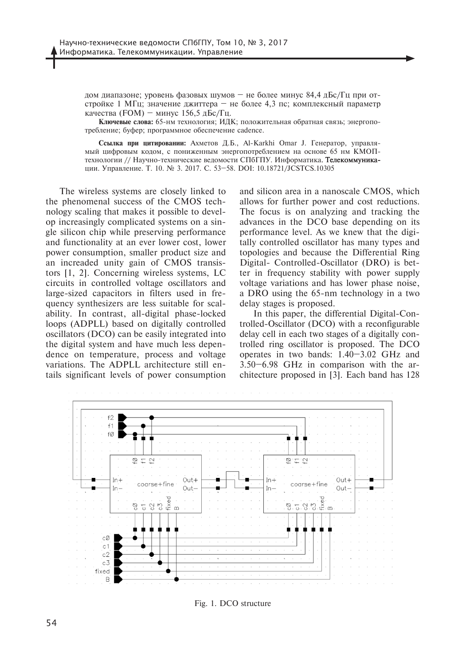дом диапазоне; уровень фазовых шумов – не более минус 84,4 дБс/Гц при отстройке 1 МГц; значение джиттера – не более 4,3 пс; комплексный параметр качества (FOM) – минус 156,5 дБс/Гц.

**Ключевые слова:** 65-нм технология; идк; положительная обратная связь; энергопотребление; буфер; программное обеспечение cadence.

**Ссылка при цитировании:** Ахметов �.Б., Al-Karkhi Omar J. Генератор, управлямый цифровым кодом, с пониженным энергопотреблением на основе 65 нм КМОПтехнологии // Научно-технические ведомости СПбГПУ. Информатика. Телекоммуникации. Управление. Т. 10. № 3. 2017. С. 53–58. DOI: 10.18721/JCSTCS.10305

The wireless systems are closely linked to the phenomenal success of the CMOS technology scaling that makes it possible to develop increasingly complicated systems on a single silicon chip while preserving performance and functionality at an ever lower cost, lower power consumption, smaller product size and an increaded unity gain of CMOS transistors [1, 2]. Concerning wireless systems, LC circuits in controlled voltage oscillators and large-sized capacitors in filters used in frequency synthesizers are less suitable for scalability. In contrast, all-digital phase-locked loops (ADPLL) based on digitally controlled oscillators (DCO) can be easily integrated into the digital system and have much less dependence on temperature, process and voltage variations. The ADPLL architecture still entails significant levels of power consumption

and silicon area in a nanoscale CMOS, which allows for further power and cost reductions. The focus is on analyzing and tracking the advances in the DCO base depending on its performance level. As we knew that the digitally controlled oscillator has many types and topologies and because the Differential Ring Digital- Controlled-Oscillator (DRO) is better in frequency stability with power supply voltage variations and has lower phase noise, a DRO using the 65-nm technology in a two delay stages is proposed.

In this paper, the differential Digital-Controlled-Oscillator (DCO) with a reconfigurable delay cell in each two stages of a digitally controlled ring oscillator is proposed. The DCO operates in two bands: 1.40–3.02 GHz and 3.50–6.98 GHz in comparison with the architecture proposed in [3]. Each band has 128



Fig. 1. DCO structure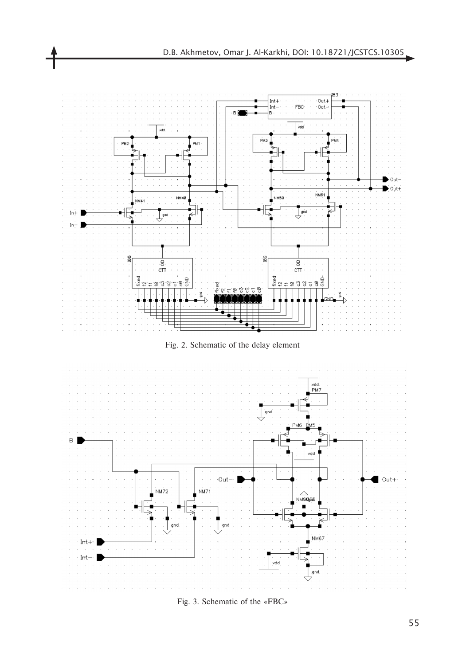

Fig. 3. Schematic of the «FBC»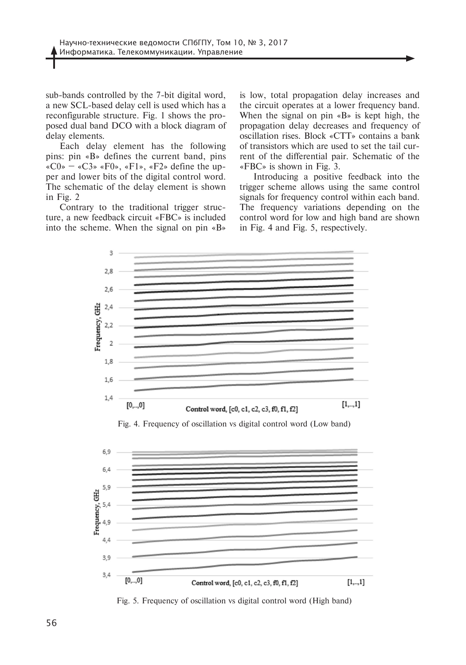sub-bands controlled by the 7-bit digital word, a new SCL-based delay cell is used which has a reconfigurable structure. Fig. 1 shows the proposed dual band DCO with a block diagram of delay elements.

Each delay element has the following pins: pin «B» defines the current band, pins «C0» – «C3» «F0», «F1», «F2» define the upper and lower bits of the digital control word. The schematic of the delay element is shown in Fig. 2

Contrary to the traditional trigger structure, a new feedback circuit «FBC» is included into the scheme. When the signal on pin «B»

is low, total propagation delay increases and the circuit operates at a lower frequency band. When the signal on pin «B» is kept high, the propagation delay decreases and frequency of oscillation rises. Block «CTT» contains a bank of transistors which are used to set the tail current of the differential pair. Schematic of the «FBC» is shown in Fig. 3.

Introducing a positive feedback into the trigger scheme allows using the same control signals for frequency control within each band. The frequency variations depending on the control word for low and high band are shown in Fig. 4 and Fig. 5, respectively.



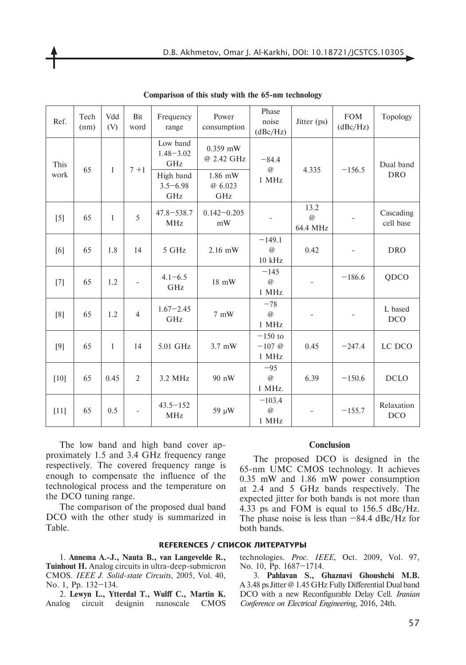| Ref.         | Tech<br>(nm) | Vdd<br>(V)   | Bit<br>word              | Frequency<br>range               | Power<br>consumption      | Phase<br>noise<br>(dBc/Hz)        | Jitter (ps)                     | <b>FOM</b><br>(dBc/Hz)   | Topology                 |
|--------------|--------------|--------------|--------------------------|----------------------------------|---------------------------|-----------------------------------|---------------------------------|--------------------------|--------------------------|
| This<br>work | 65           | $\mathbf{1}$ | $7 + 1$                  | Low band<br>$1.48 - 3.02$<br>GHz | $0.359$ mW<br>@ 2.42 GHz  | $-84.4$<br>$\circledR$<br>1 MHz   | 4.335                           | $-156.5$                 | Dual band<br><b>DRO</b>  |
|              |              |              |                          | High band<br>$3.5 - 6.98$<br>GHz | 1.86 mW<br>@ 6.023<br>GHz |                                   |                                 |                          |                          |
| $[5]$        | 65           | $\mathbf{1}$ | 5                        | $47.8 - 538.7$<br><b>MHz</b>     | $0.142 - 0.205$<br>mW     |                                   | 13.2<br>$\circledR$<br>64.4 MHz |                          | Cascading<br>cell base   |
| [6]          | 65           | 1.8          | 14                       | 5 GHz                            | $2.16$ mW                 | $-149.1$<br>$\circleda$<br>10 kHz | 0.42                            | $\overline{\phantom{0}}$ | <b>DRO</b>               |
| $[7]$        | 65           | 1.2          | $\overline{\phantom{a}}$ | $4.1 - 6.5$<br>GHz               | 18 mW                     | $-145$<br>$\oslash$<br>1 MHz      | $\overline{\phantom{a}}$        | $-186.6$                 | QDCO                     |
| [8]          | 65           | 1.2          | $\overline{4}$           | $1.67 - 2.45$<br>GHz             | $7 \text{ mW}$            | $-78$<br>$\circledR$<br>1 MHz     |                                 |                          | L based<br><b>DCO</b>    |
| [9]          | 65           | $\mathbf{1}$ | 14                       | 5.01 GHz                         | 3.7 mW                    | $-150$ to<br>$-107$ @<br>1 MHz    | 0.45                            | $-247.4$                 | LC DCO                   |
| $[10]$       | 65           | 0.45         | 2                        | 3.2 MHz                          | 90 nW                     | $-95$<br>$\circledR$<br>1 MHz.    | 6.39                            | $-150.6$                 | <b>DCLO</b>              |
| $[11]$       | 65           | 0.5          | $\overline{\phantom{a}}$ | $43.5 - 152$<br><b>MHz</b>       | 59 µW                     | $-103.4$<br>$\circleda$<br>1 MHz  |                                 | $-155.7$                 | Relaxation<br><b>DCO</b> |

**Comparison of this study with the 65-nm technology**

The low band and high band cover approximately 1.5 and 3.4 GHz frequency range respectively. The covered frequency range is enough to compensate the influence of the technological process and the temperature on the DCO tuning range.

The comparison of the proposed dual band DCO with the other study is summarized in Table.

#### **Conclusion**

The proposed DCO is designed in the 65-nm UMC CMOS technology. It achieves 0.35 mW and 1.86 mW power consumption at 2.4 and 5 GHz bands respectively. The expected jitter for both bands is not more than 4.33 ps and FOM is equal to 156.5 dBc/Hz. The phase noise is less than  $-84.4$  dBc/Hz for both bands.

### **References / СПИСОК ЛИТЕРАТУРЫ**

1. **Annema A.-J., Nauta B., van Langevelde R., Tuinhout H.** Analog circuits in ultra-deep-submicron CMOS. *IEEE J. Solid-state Circuits*, 2005, Vol. 40, No. 1, Pp. 132–134.

2. **Lewyn L., Ytterdal T., Wulff C., Martin K.** Analog circuit designin nanoscale CMOS technologies. *Proc. IEEE*, Oct. 2009, Vol. 97, No. 10, Pp. 1687–1714.

3. **Pahlavan S., Ghaznavi Ghoushchi M.B.** A 3.48 ps Jitter @ 1.45 GHz Fully Differential Dual band DCO with a new Reconfigurable Delay Cell. *Iranian Conference on Electrical Engineering*, 2016, 24th.